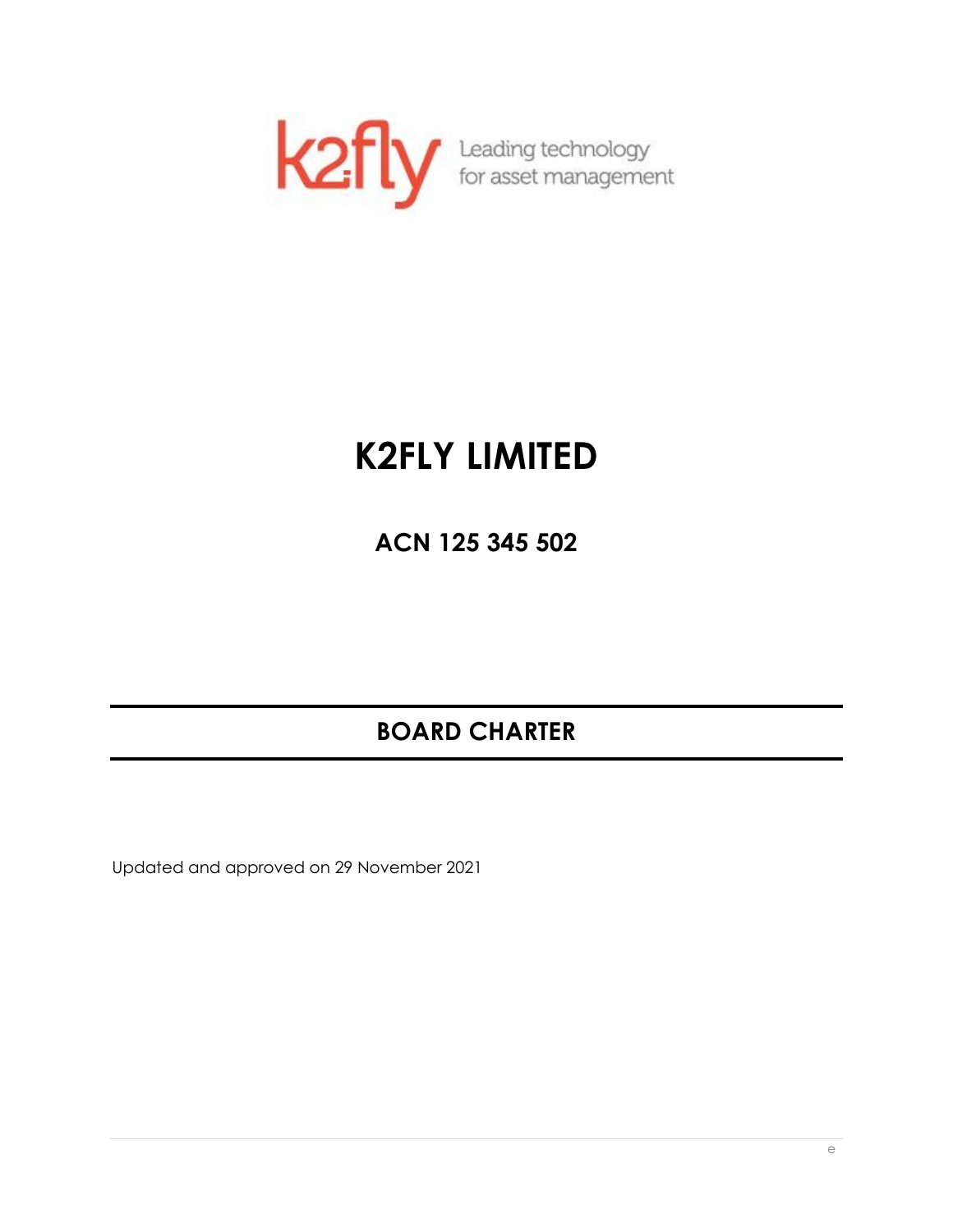

# **K2FLY LIMITED**

**ACN 125 345 502**

# **BOARD CHARTER**

Updated and approved on 29 November 2021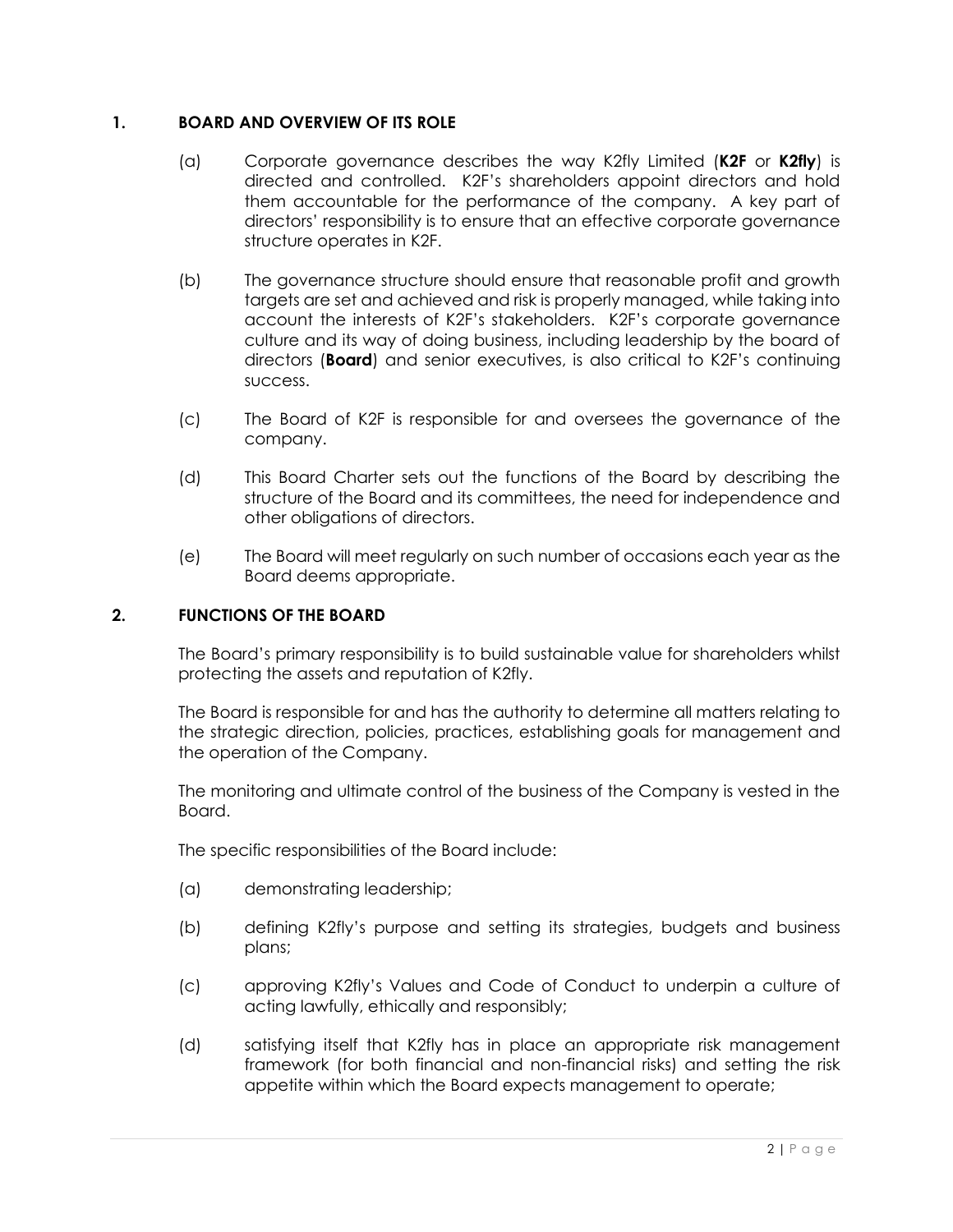# **1. BOARD AND OVERVIEW OF ITS ROLE**

- (a) Corporate governance describes the way K2fly Limited (**K2F** or **K2fly**) is directed and controlled. K2F's shareholders appoint directors and hold them accountable for the performance of the company. A key part of directors' responsibility is to ensure that an effective corporate governance structure operates in K2F.
- (b) The governance structure should ensure that reasonable profit and growth targets are set and achieved and risk is properly managed, while taking into account the interests of K2F's stakeholders. K2F's corporate governance culture and its way of doing business, including leadership by the board of directors (**Board**) and senior executives, is also critical to K2F's continuing success.
- (c) The Board of K2F is responsible for and oversees the governance of the company.
- (d) This Board Charter sets out the functions of the Board by describing the structure of the Board and its committees, the need for independence and other obligations of directors.
- (e) The Board will meet regularly on such number of occasions each year as the Board deems appropriate.

# **2. FUNCTIONS OF THE BOARD**

The Board's primary responsibility is to build sustainable value for shareholders whilst protecting the assets and reputation of K2fly.

The Board is responsible for and has the authority to determine all matters relating to the strategic direction, policies, practices, establishing goals for management and the operation of the Company.

The monitoring and ultimate control of the business of the Company is vested in the Board.

The specific responsibilities of the Board include:

- (a) demonstrating leadership;
- (b) defining K2fly's purpose and setting its strategies, budgets and business plans;
- (c) approving K2fly's Values and Code of Conduct to underpin a culture of acting lawfully, ethically and responsibly;
- (d) satisfying itself that K2fly has in place an appropriate risk management framework (for both financial and non-financial risks) and setting the risk appetite within which the Board expects management to operate;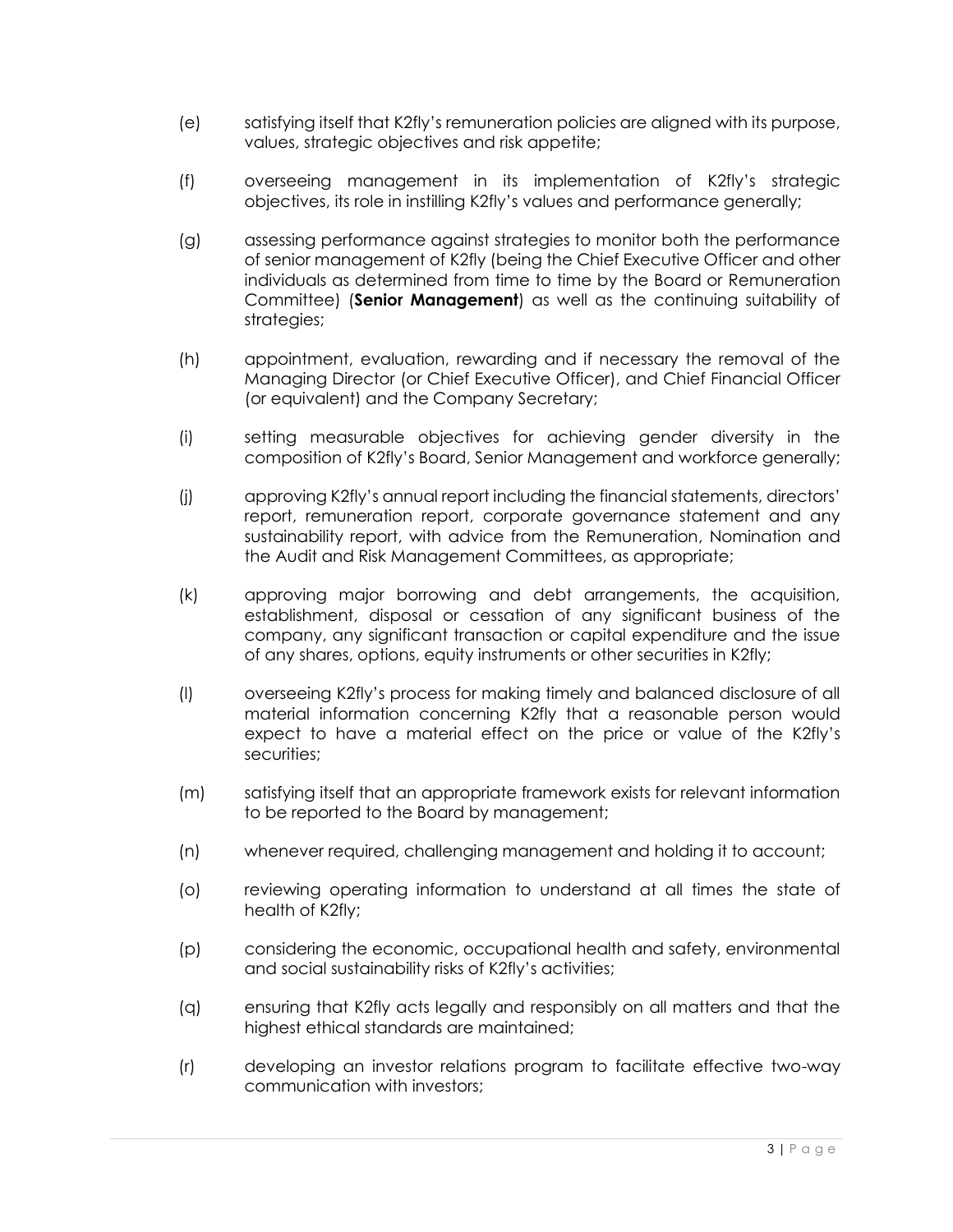- (e) satisfying itself that K2fly's remuneration policies are aligned with its purpose, values, strategic objectives and risk appetite;
- (f) overseeing management in its implementation of K2fly's strategic objectives, its role in instilling K2fly's values and performance generally;
- (g) assessing performance against strategies to monitor both the performance of senior management of K2fly (being the Chief Executive Officer and other individuals as determined from time to time by the Board or Remuneration Committee) (**Senior Management**) as well as the continuing suitability of strategies;
- (h) appointment, evaluation, rewarding and if necessary the removal of the Managing Director (or Chief Executive Officer), and Chief Financial Officer (or equivalent) and the Company Secretary;
- (i) setting measurable objectives for achieving gender diversity in the composition of K2fly's Board, Senior Management and workforce generally;
- (j) approving K2fly's annual report including the financial statements, directors' report, remuneration report, corporate governance statement and any sustainability report, with advice from the Remuneration, Nomination and the Audit and Risk Management Committees, as appropriate;
- (k) approving major borrowing and debt arrangements, the acquisition, establishment, disposal or cessation of any significant business of the company, any significant transaction or capital expenditure and the issue of any shares, options, equity instruments or other securities in K2fly;
- (l) overseeing K2fly's process for making timely and balanced disclosure of all material information concerning K2fly that a reasonable person would expect to have a material effect on the price or value of the K2fly's securities;
- (m) satisfying itself that an appropriate framework exists for relevant information to be reported to the Board by management;
- (n) whenever required, challenging management and holding it to account;
- (o) reviewing operating information to understand at all times the state of health of K2fly;
- (p) considering the economic, occupational health and safety, environmental and social sustainability risks of K2fly's activities;
- (q) ensuring that K2fly acts legally and responsibly on all matters and that the highest ethical standards are maintained;
- (r) developing an investor relations program to facilitate effective two-way communication with investors;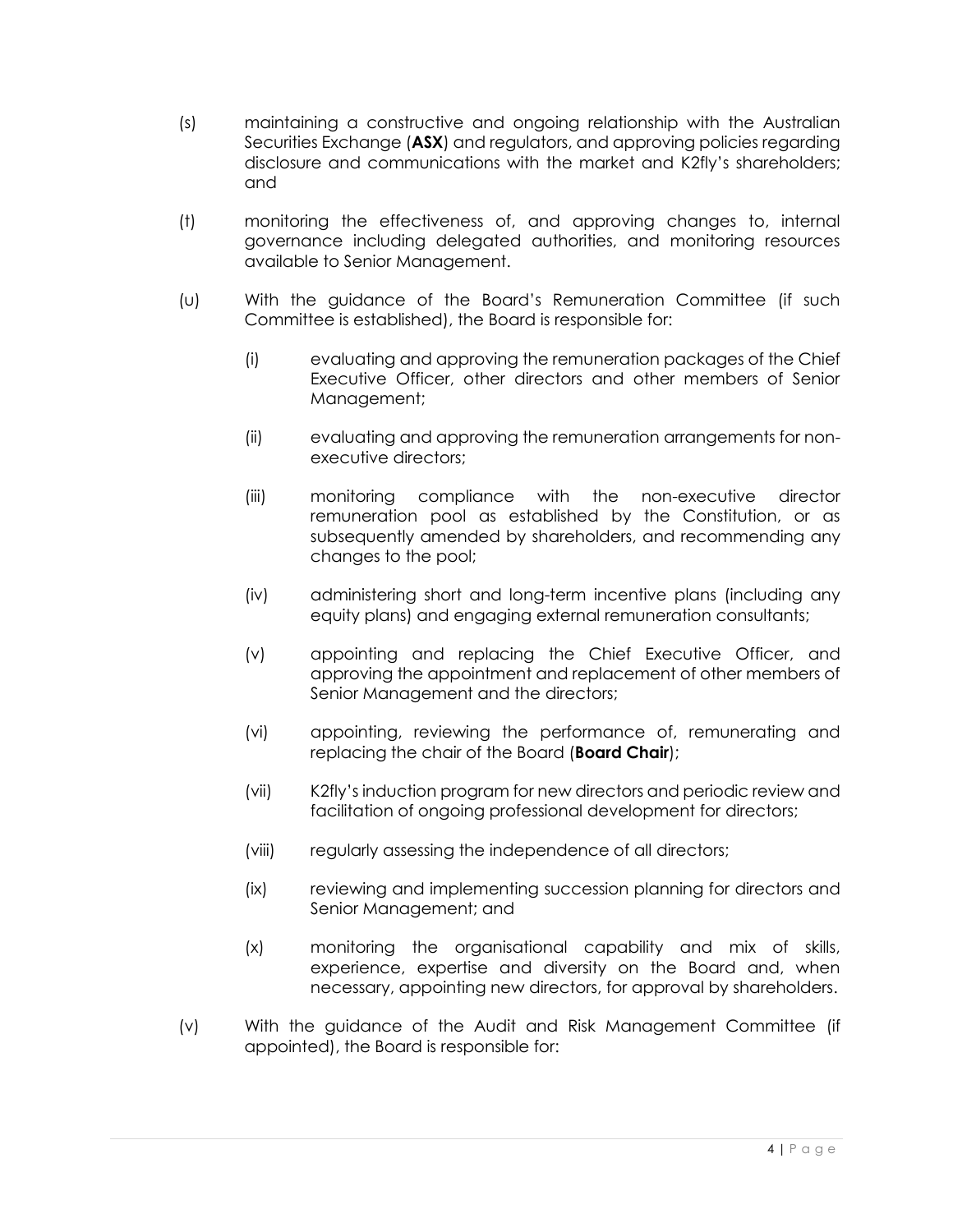- (s) maintaining a constructive and ongoing relationship with the Australian Securities Exchange (**ASX**) and regulators, and approving policies regarding disclosure and communications with the market and K2fly's shareholders; and
- (t) monitoring the effectiveness of, and approving changes to, internal governance including delegated authorities, and monitoring resources available to Senior Management.
- (u) With the guidance of the Board's Remuneration Committee (if such Committee is established), the Board is responsible for:
	- (i) evaluating and approving the remuneration packages of the Chief Executive Officer, other directors and other members of Senior Management;
	- (ii) evaluating and approving the remuneration arrangements for nonexecutive directors;
	- (iii) monitoring compliance with the non-executive director remuneration pool as established by the Constitution, or as subsequently amended by shareholders, and recommending any changes to the pool;
	- (iv) administering short and long-term incentive plans (including any equity plans) and engaging external remuneration consultants;
	- (v) appointing and replacing the Chief Executive Officer, and approving the appointment and replacement of other members of Senior Management and the directors;
	- (vi) appointing, reviewing the performance of, remunerating and replacing the chair of the Board (**Board Chair**);
	- (vii) K2fly's induction program for new directors and periodic review and facilitation of ongoing professional development for directors;
	- (viii) regularly assessing the independence of all directors;
	- (ix) reviewing and implementing succession planning for directors and Senior Management; and
	- (x) monitoring the organisational capability and mix of skills, experience, expertise and diversity on the Board and, when necessary, appointing new directors, for approval by shareholders.
- (v) With the guidance of the Audit and Risk Management Committee (if appointed), the Board is responsible for: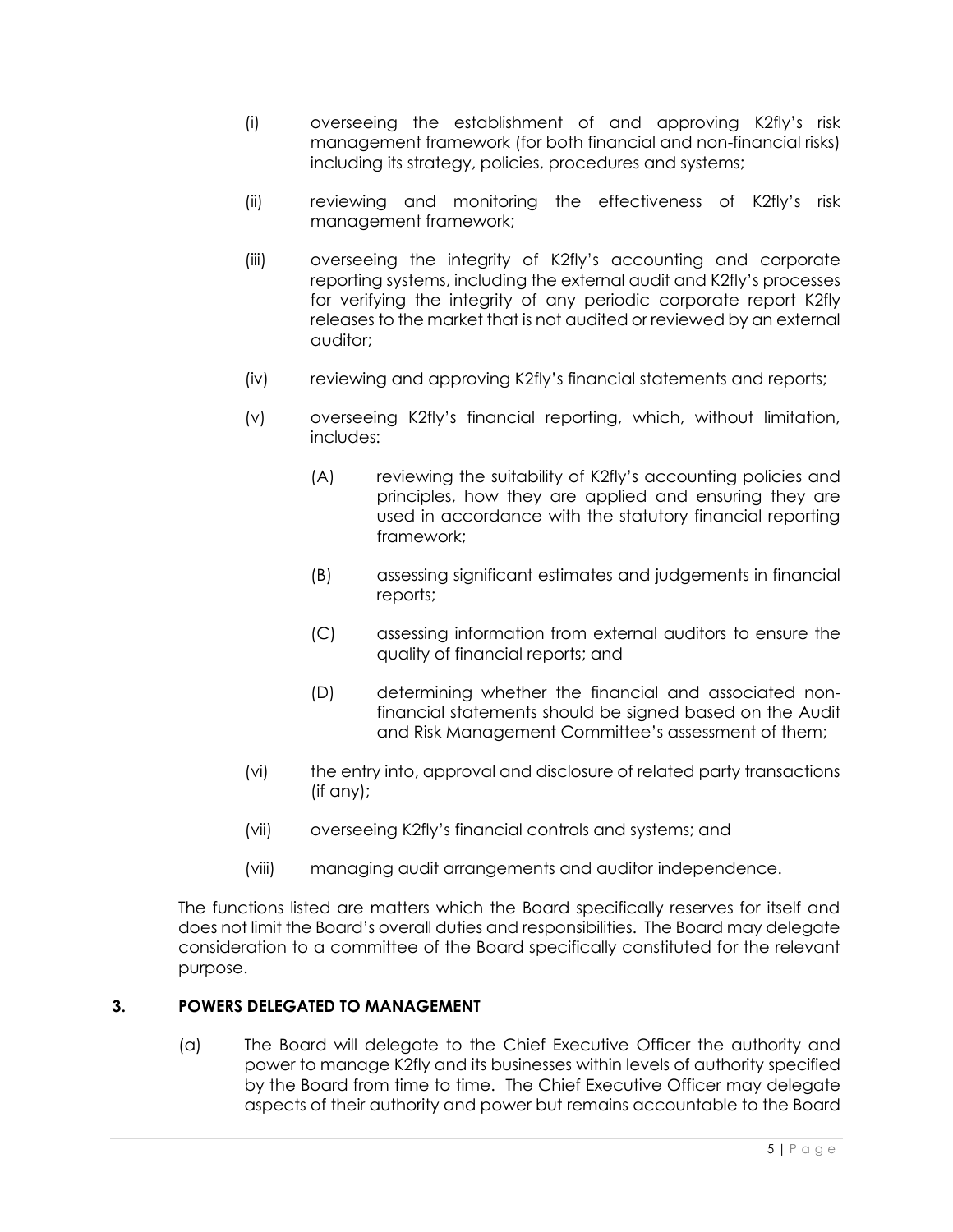- (i) overseeing the establishment of and approving K2fly's risk management framework (for both financial and non-financial risks) including its strategy, policies, procedures and systems;
- (ii) reviewing and monitoring the effectiveness of K2fly's risk management framework;
- (iii) overseeing the integrity of K2fly's accounting and corporate reporting systems, including the external audit and K2fly's processes for verifying the integrity of any periodic corporate report K2fly releases to the market that is not audited or reviewed by an external auditor;
- (iv) reviewing and approving K2fly's financial statements and reports;
- (v) overseeing K2fly's financial reporting, which, without limitation, includes:
	- (A) reviewing the suitability of K2fly's accounting policies and principles, how they are applied and ensuring they are used in accordance with the statutory financial reporting framework;
	- (B) assessing significant estimates and judgements in financial reports;
	- (C) assessing information from external auditors to ensure the quality of financial reports; and
	- (D) determining whether the financial and associated nonfinancial statements should be signed based on the Audit and Risk Management Committee's assessment of them;
- (vi) the entry into, approval and disclosure of related party transactions (if any);
- (vii) overseeing K2fly's financial controls and systems; and
- (viii) managing audit arrangements and auditor independence.

The functions listed are matters which the Board specifically reserves for itself and does not limit the Board's overall duties and responsibilities. The Board may delegate consideration to a committee of the Board specifically constituted for the relevant purpose.

# **3. POWERS DELEGATED TO MANAGEMENT**

(a) The Board will delegate to the Chief Executive Officer the authority and power to manage K2fly and its businesses within levels of authority specified by the Board from time to time. The Chief Executive Officer may delegate aspects of their authority and power but remains accountable to the Board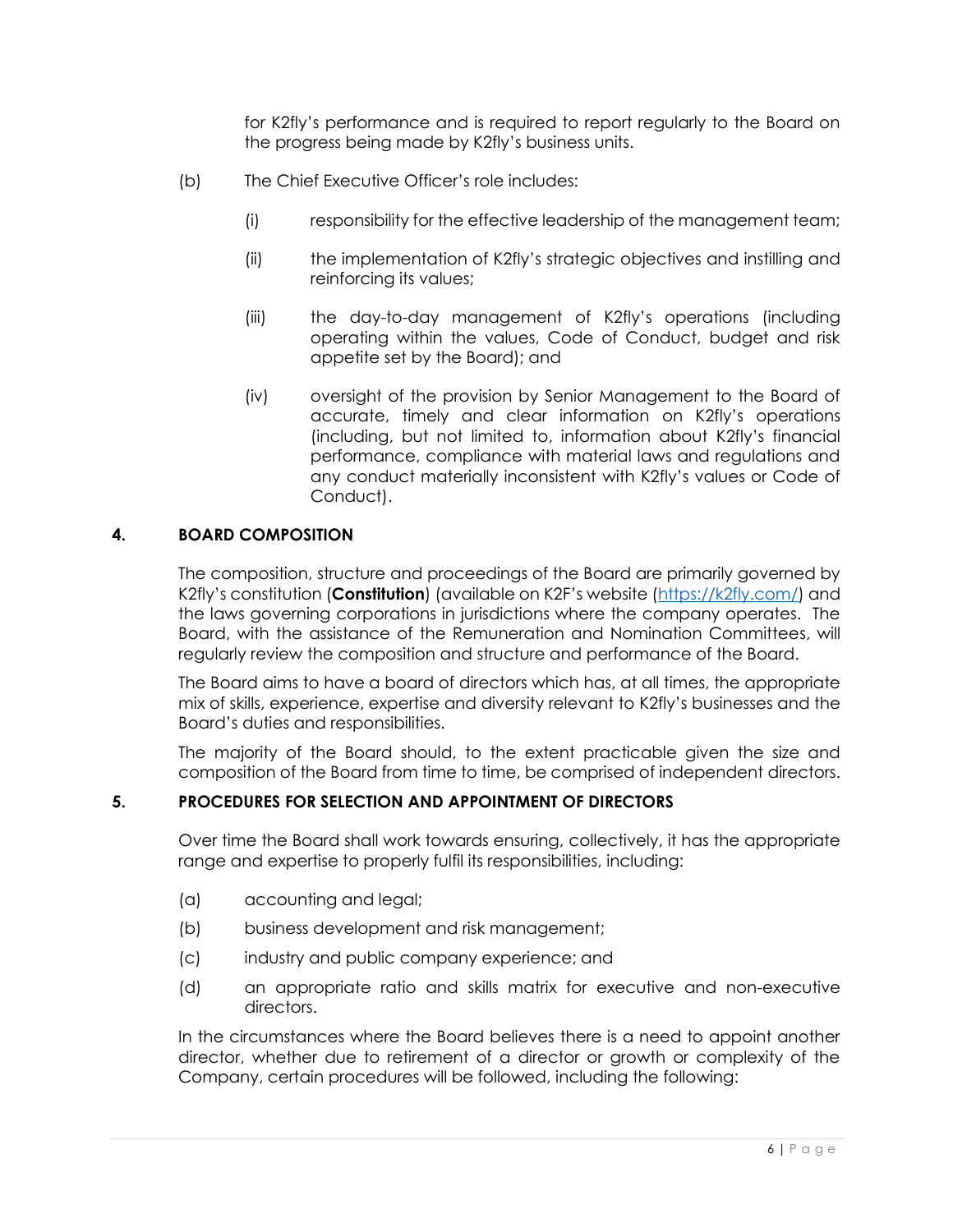for K2fly's performance and is required to report regularly to the Board on the progress being made by K2fly's business units.

- (b) The Chief Executive Officer's role includes:
	- (i) responsibility for the effective leadership of the management team;
	- (ii) the implementation of K2fly's strategic objectives and instilling and reinforcing its values;
	- (iii) the day-to-day management of K2fly's operations (including operating within the values, Code of Conduct, budget and risk appetite set by the Board); and
	- (iv) oversight of the provision by Senior Management to the Board of accurate, timely and clear information on K2fly's operations (including, but not limited to, information about K2fly's financial performance, compliance with material laws and regulations and any conduct materially inconsistent with K2fly's values or Code of Conduct).

#### **4. BOARD COMPOSITION**

The composition, structure and proceedings of the Board are primarily governed by K2fly's constitution (**Constitution**) (available on K2F's website ([https://k2fly.com/\)](https://k2fly.com/) and the laws governing corporations in jurisdictions where the company operates. The Board, with the assistance of the Remuneration and Nomination Committees, will regularly review the composition and structure and performance of the Board.

The Board aims to have a board of directors which has, at all times, the appropriate mix of skills, experience, expertise and diversity relevant to K2fly's businesses and the Board's duties and responsibilities.

The majority of the Board should, to the extent practicable given the size and composition of the Board from time to time, be comprised of independent directors.

#### **5. PROCEDURES FOR SELECTION AND APPOINTMENT OF DIRECTORS**

Over time the Board shall work towards ensuring, collectively, it has the appropriate range and expertise to properly fulfil its responsibilities, including:

- (a) accounting and legal;
- (b) business development and risk management;
- (c) industry and public company experience; and
- (d) an appropriate ratio and skills matrix for executive and non-executive directors.

In the circumstances where the Board believes there is a need to appoint another director, whether due to retirement of a director or growth or complexity of the Company, certain procedures will be followed, including the following: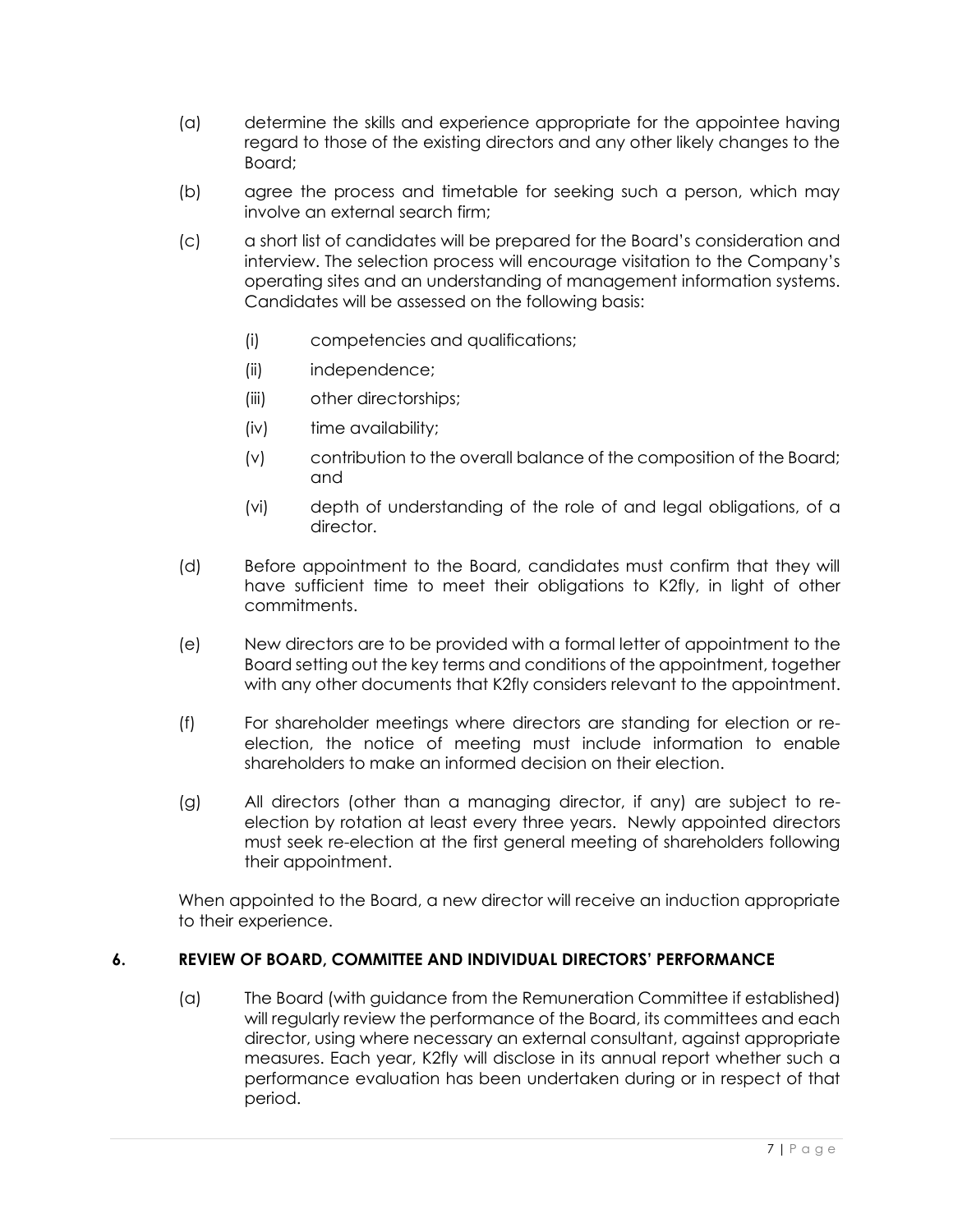- (a) determine the skills and experience appropriate for the appointee having regard to those of the existing directors and any other likely changes to the Board;
- (b) agree the process and timetable for seeking such a person, which may involve an external search firm;
- (c) a short list of candidates will be prepared for the Board's consideration and interview. The selection process will encourage visitation to the Company's operating sites and an understanding of management information systems. Candidates will be assessed on the following basis:
	- (i) competencies and qualifications;
	- (ii) independence;
	- (iii) other directorships;
	- (iv) time availability;
	- (v) contribution to the overall balance of the composition of the Board; and
	- (vi) depth of understanding of the role of and legal obligations, of a director.
- (d) Before appointment to the Board, candidates must confirm that they will have sufficient time to meet their obligations to K2fly, in light of other commitments.
- (e) New directors are to be provided with a formal letter of appointment to the Board setting out the key terms and conditions of the appointment, together with any other documents that K2fly considers relevant to the appointment.
- (f) For shareholder meetings where directors are standing for election or reelection, the notice of meeting must include information to enable shareholders to make an informed decision on their election.
- (g) All directors (other than a managing director, if any) are subject to reelection by rotation at least every three years. Newly appointed directors must seek re-election at the first general meeting of shareholders following their appointment.

When appointed to the Board, a new director will receive an induction appropriate to their experience.

# **6. REVIEW OF BOARD, COMMITTEE AND INDIVIDUAL DIRECTORS' PERFORMANCE**

(a) The Board (with guidance from the Remuneration Committee if established) will regularly review the performance of the Board, its committees and each director, using where necessary an external consultant, against appropriate measures. Each year, K2fly will disclose in its annual report whether such a performance evaluation has been undertaken during or in respect of that period.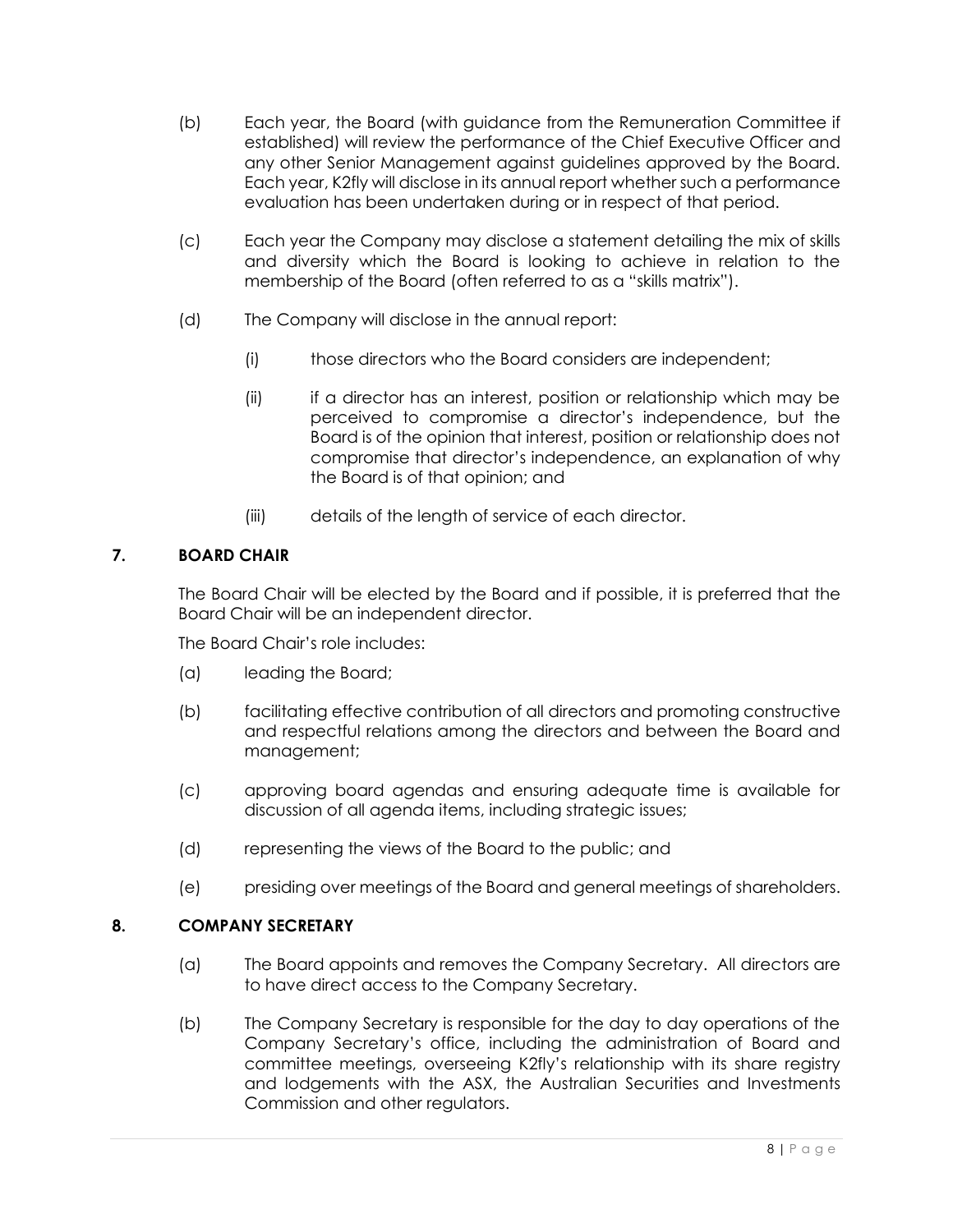- (b) Each year, the Board (with guidance from the Remuneration Committee if established) will review the performance of the Chief Executive Officer and any other Senior Management against guidelines approved by the Board. Each year, K2fly will disclose in its annual report whether such a performance evaluation has been undertaken during or in respect of that period.
- (c) Each year the Company may disclose a statement detailing the mix of skills and diversity which the Board is looking to achieve in relation to the membership of the Board (often referred to as a "skills matrix").
- (d) The Company will disclose in the annual report:
	- (i) those directors who the Board considers are independent;
	- (ii) if a director has an interest, position or relationship which may be perceived to compromise a director's independence, but the Board is of the opinion that interest, position or relationship does not compromise that director's independence, an explanation of why the Board is of that opinion; and
	- (iii) details of the length of service of each director.

# **7. BOARD CHAIR**

The Board Chair will be elected by the Board and if possible, it is preferred that the Board Chair will be an independent director.

The Board Chair's role includes:

- (a) leading the Board;
- (b) facilitating effective contribution of all directors and promoting constructive and respectful relations among the directors and between the Board and management;
- (c) approving board agendas and ensuring adequate time is available for discussion of all agenda items, including strategic issues;
- (d) representing the views of the Board to the public; and
- (e) presiding over meetings of the Board and general meetings of shareholders.

#### **8. COMPANY SECRETARY**

- (a) The Board appoints and removes the Company Secretary. All directors are to have direct access to the Company Secretary.
- (b) The Company Secretary is responsible for the day to day operations of the Company Secretary's office, including the administration of Board and committee meetings, overseeing K2fly's relationship with its share registry and lodgements with the ASX, the Australian Securities and Investments Commission and other regulators.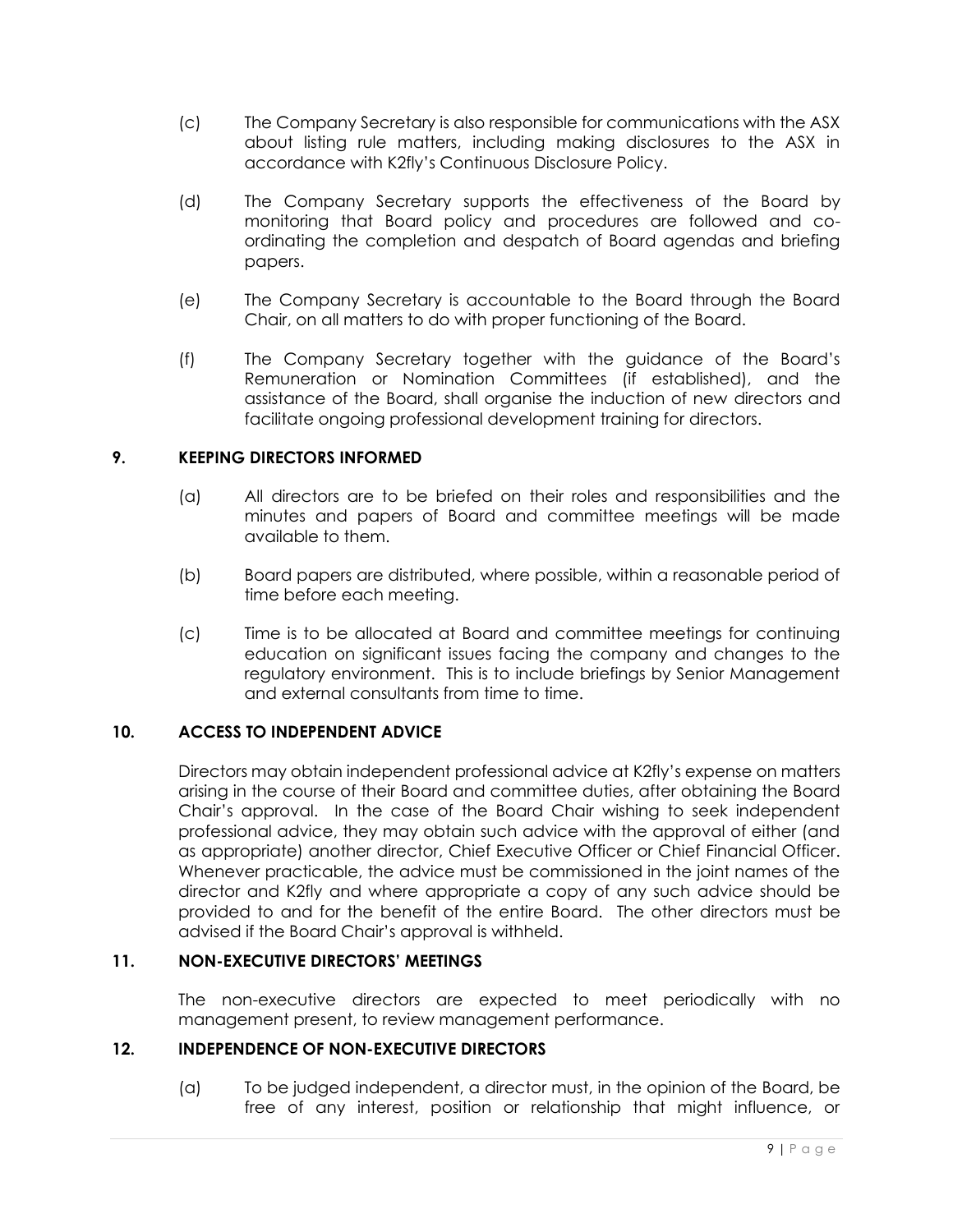- (c) The Company Secretary is also responsible for communications with the ASX about listing rule matters, including making disclosures to the ASX in accordance with K2fly's Continuous Disclosure Policy.
- (d) The Company Secretary supports the effectiveness of the Board by monitoring that Board policy and procedures are followed and coordinating the completion and despatch of Board agendas and briefing papers.
- (e) The Company Secretary is accountable to the Board through the Board Chair, on all matters to do with proper functioning of the Board.
- (f) The Company Secretary together with the guidance of the Board's Remuneration or Nomination Committees (if established), and the assistance of the Board, shall organise the induction of new directors and facilitate ongoing professional development training for directors.

# **9. KEEPING DIRECTORS INFORMED**

- (a) All directors are to be briefed on their roles and responsibilities and the minutes and papers of Board and committee meetings will be made available to them.
- (b) Board papers are distributed, where possible, within a reasonable period of time before each meeting.
- (c) Time is to be allocated at Board and committee meetings for continuing education on significant issues facing the company and changes to the regulatory environment. This is to include briefings by Senior Management and external consultants from time to time.

# **10. ACCESS TO INDEPENDENT ADVICE**

Directors may obtain independent professional advice at K2fly's expense on matters arising in the course of their Board and committee duties, after obtaining the Board Chair's approval. In the case of the Board Chair wishing to seek independent professional advice, they may obtain such advice with the approval of either (and as appropriate) another director, Chief Executive Officer or Chief Financial Officer. Whenever practicable, the advice must be commissioned in the joint names of the director and K2fly and where appropriate a copy of any such advice should be provided to and for the benefit of the entire Board. The other directors must be advised if the Board Chair's approval is withheld.

# **11. NON-EXECUTIVE DIRECTORS' MEETINGS**

The non-executive directors are expected to meet periodically with no management present, to review management performance.

# **12. INDEPENDENCE OF NON-EXECUTIVE DIRECTORS**

(a) To be judged independent, a director must, in the opinion of the Board, be free of any interest, position or relationship that might influence, or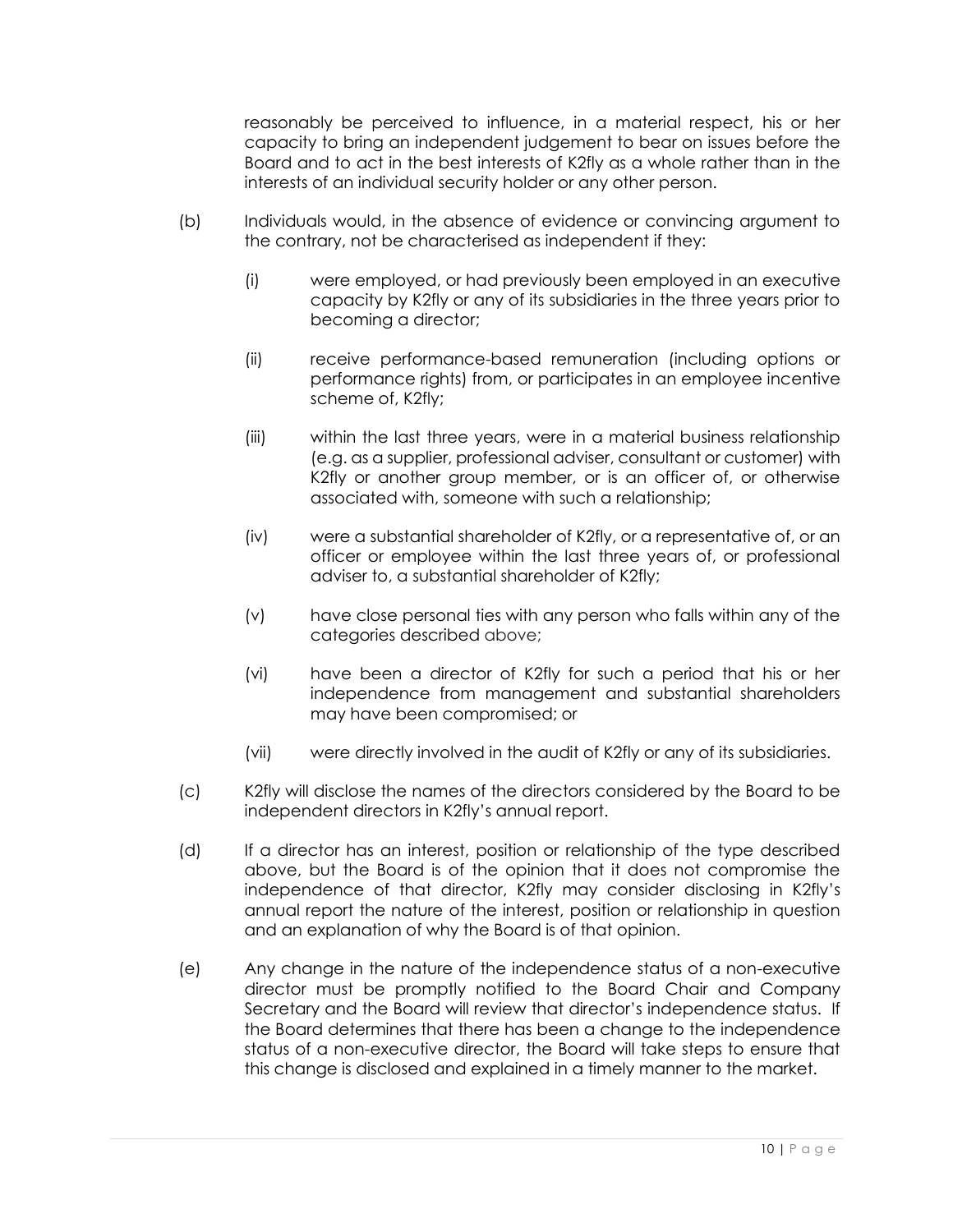reasonably be perceived to influence, in a material respect, his or her capacity to bring an independent judgement to bear on issues before the Board and to act in the best interests of K2fly as a whole rather than in the interests of an individual security holder or any other person.

- (b) Individuals would, in the absence of evidence or convincing argument to the contrary, not be characterised as independent if they:
	- (i) were employed, or had previously been employed in an executive capacity by K2fly or any of its subsidiaries in the three years prior to becoming a director;
	- (ii) receive performance-based remuneration (including options or performance rights) from, or participates in an employee incentive scheme of, K2fly;
	- (iii) within the last three years, were in a material business relationship (e.g. as a supplier, professional adviser, consultant or customer) with K2fly or another group member, or is an officer of, or otherwise associated with, someone with such a relationship;
	- (iv) were a substantial shareholder of K2fly, or a representative of, or an officer or employee within the last three years of, or professional adviser to, a substantial shareholder of K2fly;
	- (v) have close personal ties with any person who falls within any of the categories described above;
	- (vi) have been a director of K2fly for such a period that his or her independence from management and substantial shareholders may have been compromised; or
	- (vii) were directly involved in the audit of K2fly or any of its subsidiaries.
- (c) K2fly will disclose the names of the directors considered by the Board to be independent directors in K2fly's annual report.
- (d) If a director has an interest, position or relationship of the type described above, but the Board is of the opinion that it does not compromise the independence of that director, K2fly may consider disclosing in K2fly's annual report the nature of the interest, position or relationship in question and an explanation of why the Board is of that opinion.
- (e) Any change in the nature of the independence status of a non-executive director must be promptly notified to the Board Chair and Company Secretary and the Board will review that director's independence status. If the Board determines that there has been a change to the independence status of a non-executive director, the Board will take steps to ensure that this change is disclosed and explained in a timely manner to the market.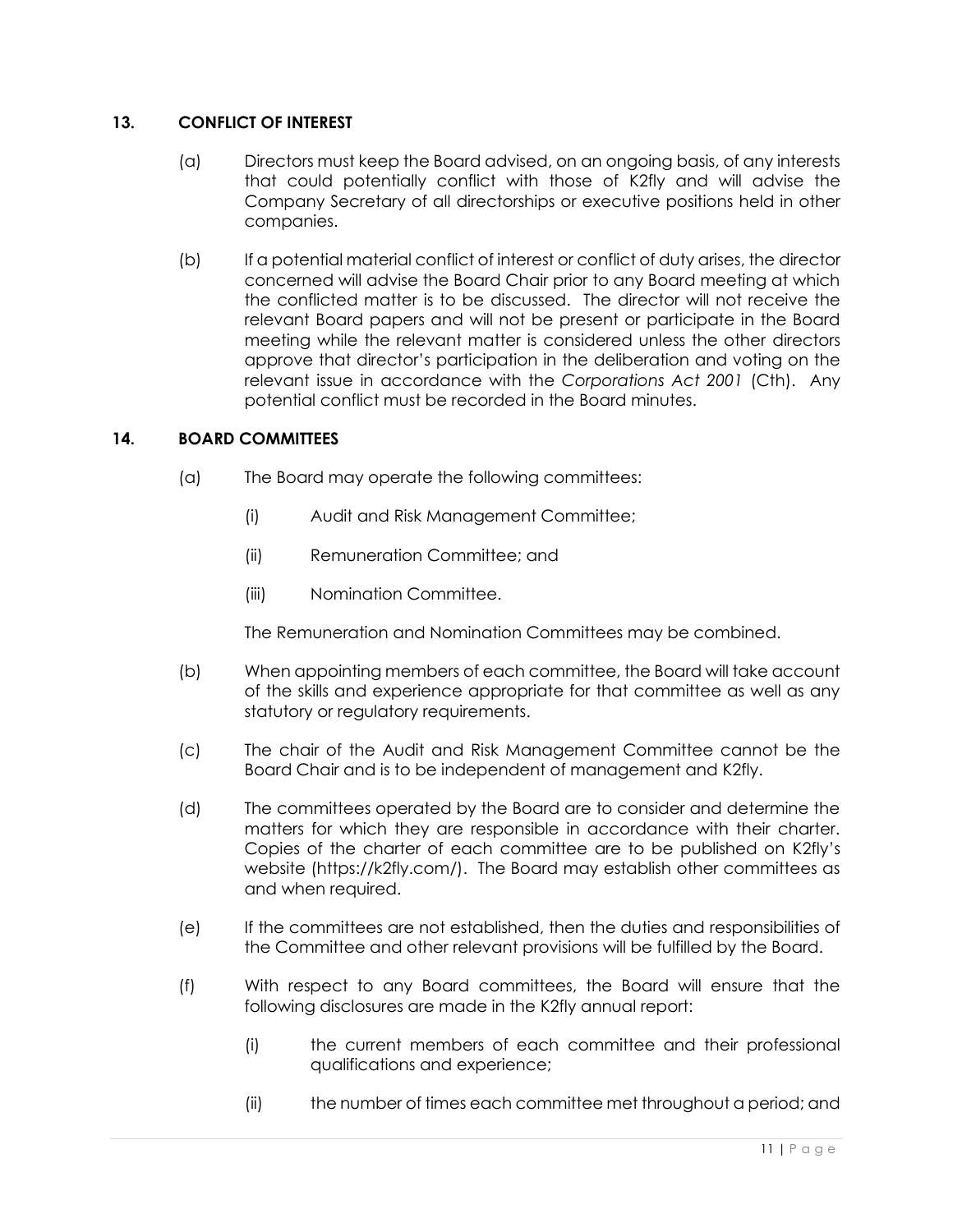# **13. CONFLICT OF INTEREST**

- (a) Directors must keep the Board advised, on an ongoing basis, of any interests that could potentially conflict with those of K2fly and will advise the Company Secretary of all directorships or executive positions held in other companies.
- (b) If a potential material conflict of interest or conflict of duty arises, the director concerned will advise the Board Chair prior to any Board meeting at which the conflicted matter is to be discussed. The director will not receive the relevant Board papers and will not be present or participate in the Board meeting while the relevant matter is considered unless the other directors approve that director's participation in the deliberation and voting on the relevant issue in accordance with the *Corporations Act 2001* (Cth). Any potential conflict must be recorded in the Board minutes.

#### **14. BOARD COMMITTEES**

- (a) The Board may operate the following committees:
	- (i) Audit and Risk Management Committee;
	- (ii) Remuneration Committee; and
	- (iii) Nomination Committee.

The Remuneration and Nomination Committees may be combined.

- (b) When appointing members of each committee, the Board will take account of the skills and experience appropriate for that committee as well as any statutory or regulatory requirements.
- (c) The chair of the Audit and Risk Management Committee cannot be the Board Chair and is to be independent of management and K2fly.
- (d) The committees operated by the Board are to consider and determine the matters for which they are responsible in accordance with their charter. Copies of the charter of each committee are to be published on K2fly's website (https://k2fly.com/). The Board may establish other committees as and when required.
- (e) If the committees are not established, then the duties and responsibilities of the Committee and other relevant provisions will be fulfilled by the Board.
- (f) With respect to any Board committees, the Board will ensure that the following disclosures are made in the K2fly annual report:
	- (i) the current members of each committee and their professional qualifications and experience;
	- (ii) the number of times each committee met throughout a period; and